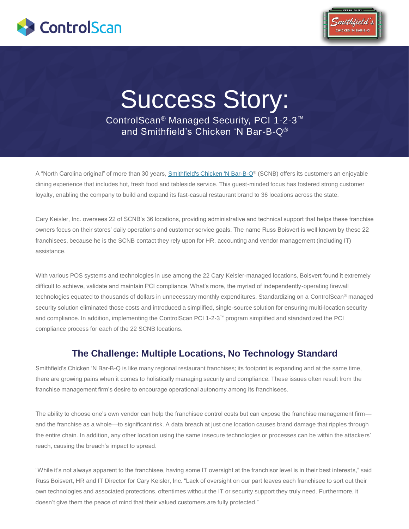



# Success Story:

ControlScan® Managed Security, PCI 1-2-3™ and Smithfield"s Chicken "N Bar-B-Q®

A "North Carolina original" of more than 30 years, [Smithfield's Chicken 'N Bar-B-Q](http://www.scnbnc.com/)® (SCNB) offers its customers an enjoyable dining experience that includes hot, fresh food and tableside service. This guest-minded focus has fostered strong customer loyalty, enabling the company to build and expand its fast-casual restaurant brand to 36 locations across the state.

Cary Keisler, Inc. oversees 22 of SCNB"s 36 locations, providing administrative and technical support that helps these franchise owners focus on their stores" daily operations and customer service goals. The name Russ Boisvert is well known by these 22 franchisees, because he is the SCNB contact they rely upon for HR, accounting and vendor management (including IT) assistance.

With various POS systems and technologies in use among the 22 Cary Keisler-managed locations, Boisvert found it extremely difficult to achieve, validate and maintain PCI compliance. What's more, the myriad of independently-operating firewall technologies equated to thousands of dollars in unnecessary monthly expenditures. Standardizing on a ControlScan® managed security solution eliminated those costs and introduced a simplified, single-source solution for ensuring multi-location security and compliance. In addition, implementing the ControlScan PCI 1-2-3™ program simplified and standardized the PCI compliance process for each of the 22 SCNB locations.

# **The Challenge: Multiple Locations, No Technology Standard**

Smithfield"s Chicken "N Bar-B-Q is like many regional restaurant franchises; its footprint is expanding and at the same time, there are growing pains when it comes to holistically managing security and compliance. These issues often result from the franchise management firm"s desire to encourage operational autonomy among its franchisees.

The ability to choose one's own vendor can help the franchisee control costs but can expose the franchise management firm and the franchise as a whole—to significant risk. A data breach at just one location causes brand damage that ripples through the entire chain. In addition, any other location using the same insecure technologies or processes can be within the attackers" reach, causing the breach's impact to spread.

"While it"s not always apparent to the franchisee, having some IT oversight at the franchisor level is in their best interests," said Russ Boisvert, HR and IT Director **f**or Cary Keisler, Inc. "Lack of oversight on our part leaves each franchisee to sort out their own technologies and associated protections, oftentimes without the IT or security support they truly need. Furthermore, it doesn"t give them the peace of mind that their valued customers are fully protected."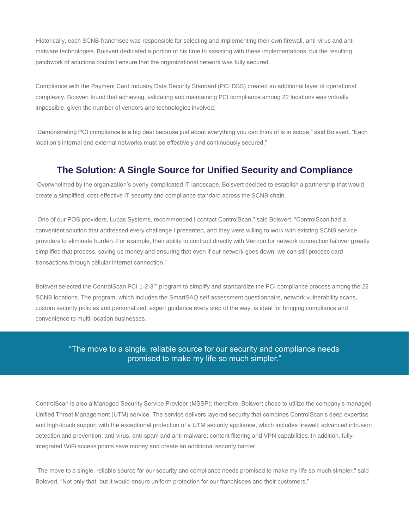Historically, each SCNB franchisee was responsible for selecting and implementing their own firewall, anti-virus and antimalware technologies. Boisvert dedicated a portion of his time to assisting with these implementations, but the resulting patchwork of solutions couldn"t ensure that the organizational network was fully secured.

Compliance with the Payment Card Industry Data Security Standard (PCI DSS) created an additional layer of operational complexity. Boisvert found that achieving, validating and maintaining PCI compliance among 22 locations was virtually impossible, given the number of vendors and technologies involved.

"Demonstrating PCI compliance is a big deal because just about everything you can think of is in scope," said Boisvert. "Each location's internal and external networks must be effectively and continuously secured."

## **The Solution: A Single Source for Unified Security and Compliance**

Overwhelmed by the organization"s overly-complicated IT landscape, Boisvert decided to establish a partnership that would create a simplified, cost-effective IT security and compliance standard across the SCNB chain.

"One of our POS providers, Lucas Systems, recommended I contact ControlScan," said Boisvert. "ControlScan had a convenient solution that addressed every challenge I presented, and they were willing to work with existing SCNB service providers to eliminate burden. For example, their ability to contract directly with Verizon for network connection failover greatly simplified that process, saving us money and ensuring that even if our network goes down, we can still process card transactions through cellular internet connection."

Boisvert selected the ControlScan PCI 1-2-3™ program to simplify and standardize the PCI compliance process among the 22 SCNB locations. The program, which includes the SmartSAQ self assessment questionnaire, network vulnerability scans, custom security policies and personalized, expert guidance every step of the way, is ideal for bringing compliance and convenience to multi-location businesses.

#### "The move to a single, reliable source for our security and compliance needs promised to make my life so much simpler."

ControlScan is also a Managed Security Service Provider (MSSP); therefore, Boisvert chose to utilize the company"s managed Unified Threat Management (UTM) service. The service delivers layered security that combines ControlScan"s deep expertise and high-touch support with the exceptional protection of a UTM security appliance, which includes firewall; advanced intrusion detection and prevention; anti-virus, anti-spam and anti-malware; content filtering and VPN capabilities. In addition, fullyintegrated WiFi access points save money and create an additional security barrier.

"The move to a single, reliable source for our security and compliance needs promised to make my life so much simpler," said Boisvert. "Not only that, but it would ensure uniform protection for our franchisees and their customers."